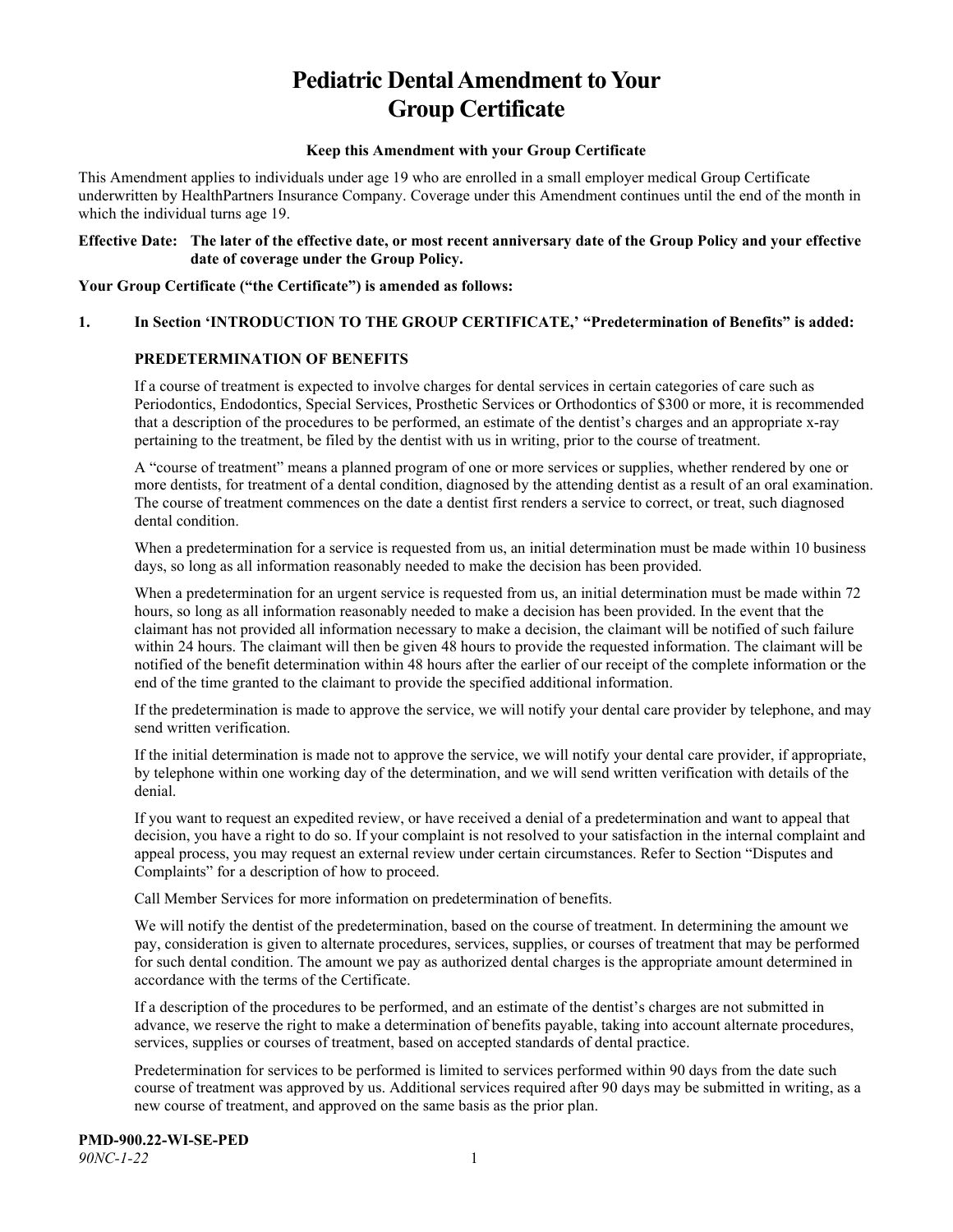# **Pediatric Dental Amendment to Your Group Certificate**

#### **Keep this Amendment with your Group Certificate**

This Amendment applies to individuals under age 19 who are enrolled in a small employer medical Group Certificate underwritten by HealthPartners Insurance Company. Coverage under this Amendment continues until the end of the month in which the individual turns age 19.

#### **Effective Date: The later of the effective date, or most recent anniversary date of the Group Policy and your effective date of coverage under the Group Policy.**

**Your Group Certificate ("the Certificate") is amended as follows:**

#### **1. In Section 'INTRODUCTION TO THE GROUP CERTIFICATE,' "Predetermination of Benefits" is added:**

## **PREDETERMINATION OF BENEFITS**

If a course of treatment is expected to involve charges for dental services in certain categories of care such as Periodontics, Endodontics, Special Services, Prosthetic Services or Orthodontics of \$300 or more, it is recommended that a description of the procedures to be performed, an estimate of the dentist's charges and an appropriate x-ray pertaining to the treatment, be filed by the dentist with us in writing, prior to the course of treatment.

A "course of treatment" means a planned program of one or more services or supplies, whether rendered by one or more dentists, for treatment of a dental condition, diagnosed by the attending dentist as a result of an oral examination. The course of treatment commences on the date a dentist first renders a service to correct, or treat, such diagnosed dental condition.

When a predetermination for a service is requested from us, an initial determination must be made within 10 business days, so long as all information reasonably needed to make the decision has been provided.

When a predetermination for an urgent service is requested from us, an initial determination must be made within 72 hours, so long as all information reasonably needed to make a decision has been provided. In the event that the claimant has not provided all information necessary to make a decision, the claimant will be notified of such failure within 24 hours. The claimant will then be given 48 hours to provide the requested information. The claimant will be notified of the benefit determination within 48 hours after the earlier of our receipt of the complete information or the end of the time granted to the claimant to provide the specified additional information.

If the predetermination is made to approve the service, we will notify your dental care provider by telephone, and may send written verification.

If the initial determination is made not to approve the service, we will notify your dental care provider, if appropriate, by telephone within one working day of the determination, and we will send written verification with details of the denial.

If you want to request an expedited review, or have received a denial of a predetermination and want to appeal that decision, you have a right to do so. If your complaint is not resolved to your satisfaction in the internal complaint and appeal process, you may request an external review under certain circumstances. Refer to Section "Disputes and Complaints" for a description of how to proceed.

Call Member Services for more information on predetermination of benefits.

We will notify the dentist of the predetermination, based on the course of treatment. In determining the amount we pay, consideration is given to alternate procedures, services, supplies, or courses of treatment that may be performed for such dental condition. The amount we pay as authorized dental charges is the appropriate amount determined in accordance with the terms of the Certificate.

If a description of the procedures to be performed, and an estimate of the dentist's charges are not submitted in advance, we reserve the right to make a determination of benefits payable, taking into account alternate procedures, services, supplies or courses of treatment, based on accepted standards of dental practice.

Predetermination for services to be performed is limited to services performed within 90 days from the date such course of treatment was approved by us. Additional services required after 90 days may be submitted in writing, as a new course of treatment, and approved on the same basis as the prior plan.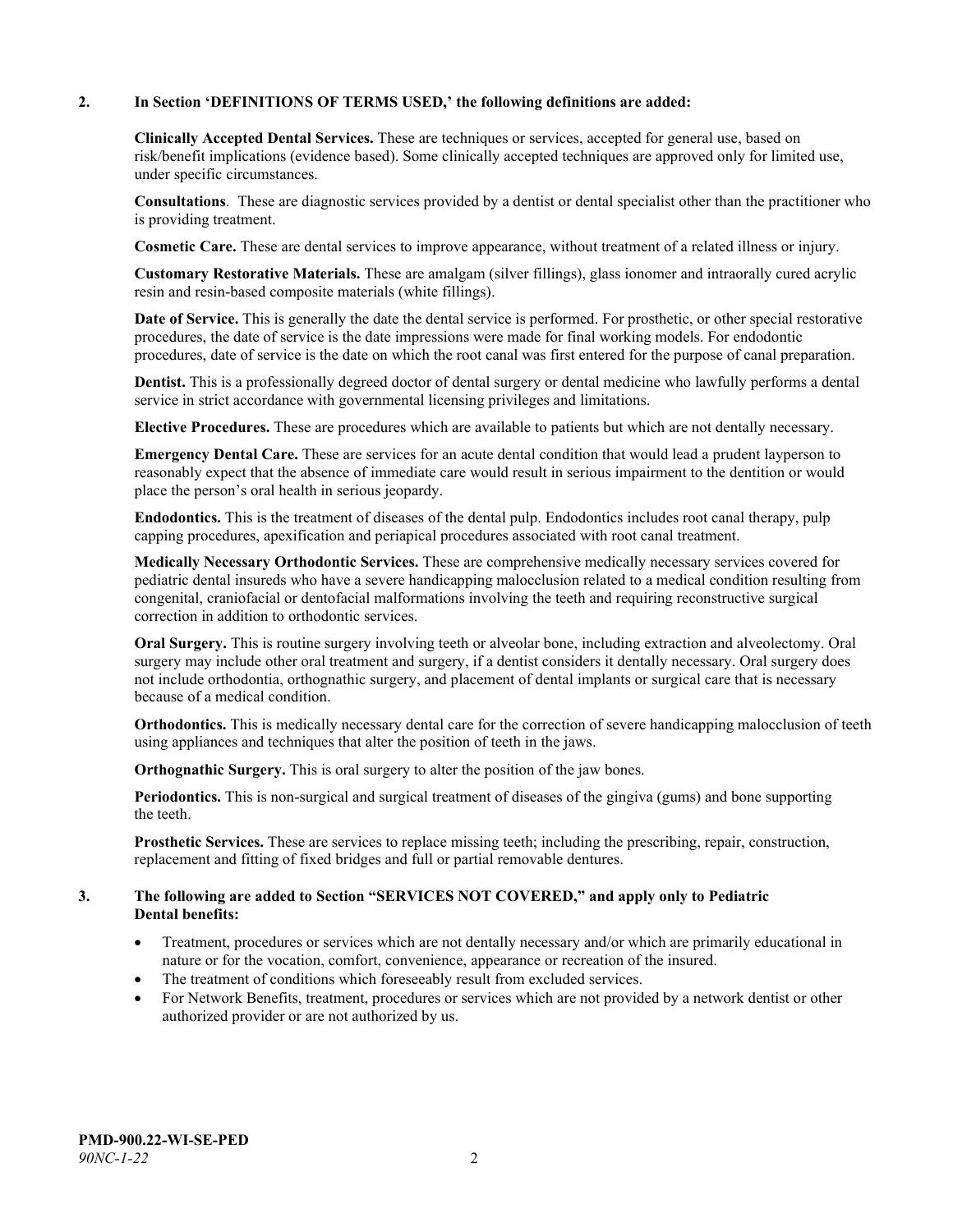#### **2. In Section 'DEFINITIONS OF TERMS USED,' the following definitions are added:**

**Clinically Accepted Dental Services.** These are techniques or services, accepted for general use, based on risk/benefit implications (evidence based). Some clinically accepted techniques are approved only for limited use, under specific circumstances.

**Consultations**. These are diagnostic services provided by a dentist or dental specialist other than the practitioner who is providing treatment.

**Cosmetic Care.** These are dental services to improve appearance, without treatment of a related illness or injury.

**Customary Restorative Materials.** These are amalgam (silver fillings), glass ionomer and intraorally cured acrylic resin and resin-based composite materials (white fillings).

**Date of Service.** This is generally the date the dental service is performed. For prosthetic, or other special restorative procedures, the date of service is the date impressions were made for final working models. For endodontic procedures, date of service is the date on which the root canal was first entered for the purpose of canal preparation.

**Dentist.** This is a professionally degreed doctor of dental surgery or dental medicine who lawfully performs a dental service in strict accordance with governmental licensing privileges and limitations.

**Elective Procedures.** These are procedures which are available to patients but which are not dentally necessary.

**Emergency Dental Care.** These are services for an acute dental condition that would lead a prudent layperson to reasonably expect that the absence of immediate care would result in serious impairment to the dentition or would place the person's oral health in serious jeopardy.

**Endodontics.** This is the treatment of diseases of the dental pulp. Endodontics includes root canal therapy, pulp capping procedures, apexification and periapical procedures associated with root canal treatment.

**Medically Necessary Orthodontic Services.** These are comprehensive medically necessary services covered for pediatric dental insureds who have a severe handicapping malocclusion related to a medical condition resulting from congenital, craniofacial or dentofacial malformations involving the teeth and requiring reconstructive surgical correction in addition to orthodontic services.

**Oral Surgery.** This is routine surgery involving teeth or alveolar bone, including extraction and alveolectomy. Oral surgery may include other oral treatment and surgery, if a dentist considers it dentally necessary. Oral surgery does not include orthodontia, orthognathic surgery, and placement of dental implants or surgical care that is necessary because of a medical condition.

**Orthodontics.** This is medically necessary dental care for the correction of severe handicapping malocclusion of teeth using appliances and techniques that alter the position of teeth in the jaws.

**Orthognathic Surgery.** This is oral surgery to alter the position of the jaw bones.

**Periodontics.** This is non-surgical and surgical treatment of diseases of the gingiva (gums) and bone supporting the teeth.

**Prosthetic Services.** These are services to replace missing teeth; including the prescribing, repair, construction, replacement and fitting of fixed bridges and full or partial removable dentures.

#### **3. The following are added to Section "SERVICES NOT COVERED," and apply only to Pediatric Dental benefits:**

- Treatment, procedures or services which are not dentally necessary and/or which are primarily educational in nature or for the vocation, comfort, convenience, appearance or recreation of the insured.
- The treatment of conditions which foreseeably result from excluded services.
- For Network Benefits, treatment, procedures or services which are not provided by a network dentist or other authorized provider or are not authorized by us.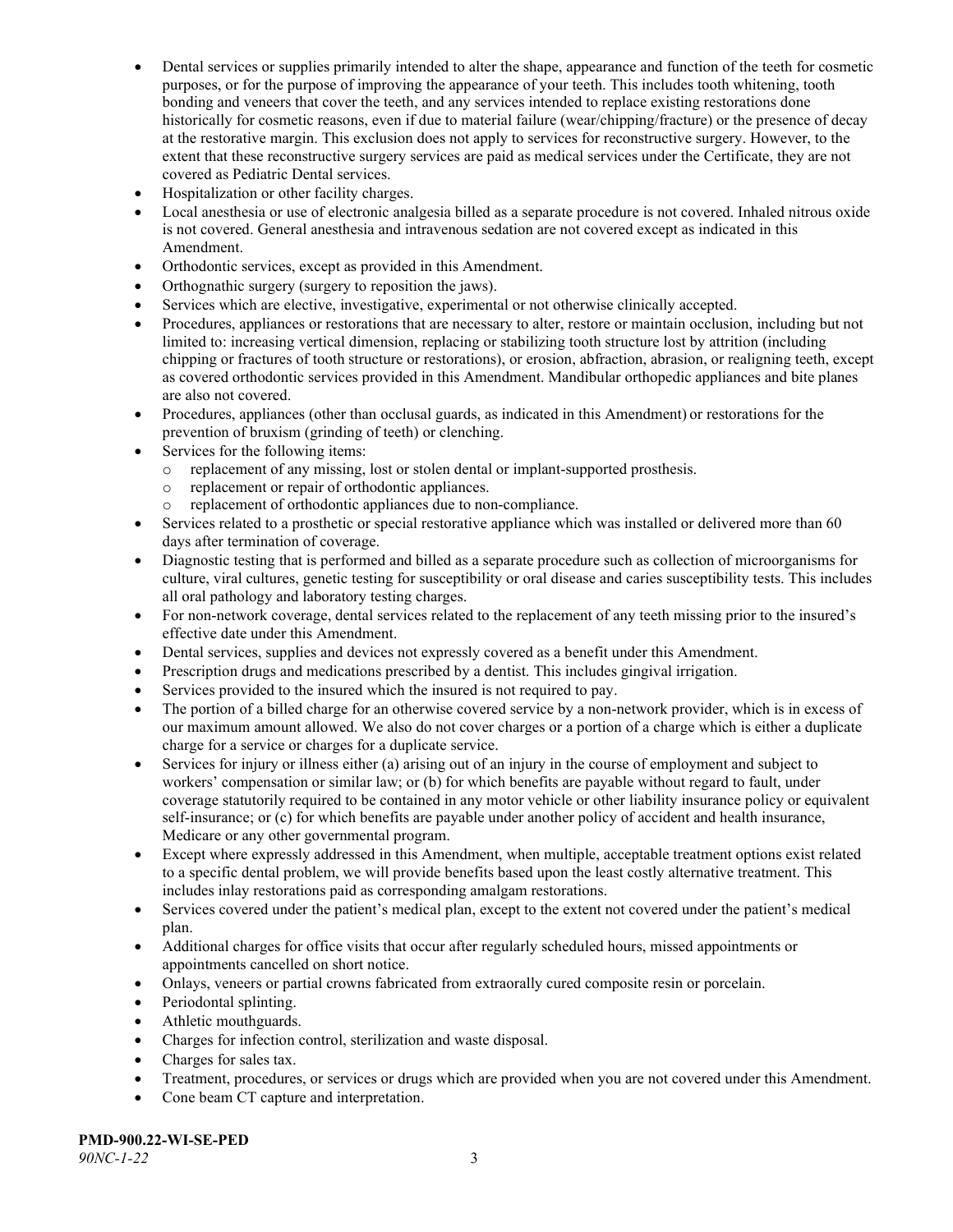- Dental services or supplies primarily intended to alter the shape, appearance and function of the teeth for cosmetic purposes, or for the purpose of improving the appearance of your teeth. This includes tooth whitening, tooth bonding and veneers that cover the teeth, and any services intended to replace existing restorations done historically for cosmetic reasons, even if due to material failure (wear/chipping/fracture) or the presence of decay at the restorative margin. This exclusion does not apply to services for reconstructive surgery. However, to the extent that these reconstructive surgery services are paid as medical services under the Certificate, they are not covered as Pediatric Dental services.
- Hospitalization or other facility charges.
- Local anesthesia or use of electronic analgesia billed as a separate procedure is not covered. Inhaled nitrous oxide is not covered. General anesthesia and intravenous sedation are not covered except as indicated in this Amendment.
- Orthodontic services, except as provided in this Amendment.
- Orthognathic surgery (surgery to reposition the jaws).
- Services which are elective, investigative, experimental or not otherwise clinically accepted.
- Procedures, appliances or restorations that are necessary to alter, restore or maintain occlusion, including but not limited to: increasing vertical dimension, replacing or stabilizing tooth structure lost by attrition (including chipping or fractures of tooth structure or restorations), or erosion, abfraction, abrasion, or realigning teeth, except as covered orthodontic services provided in this Amendment. Mandibular orthopedic appliances and bite planes are also not covered.
- Procedures, appliances (other than occlusal guards, as indicated in this Amendment) or restorations for the prevention of bruxism (grinding of teeth) or clenching.
- Services for the following items:
	- o replacement of any missing, lost or stolen dental or implant-supported prosthesis.
	- replacement or repair of orthodontic appliances.<br>○ replacement of orthodontic appliances due to not
	- replacement of orthodontic appliances due to non-compliance.
- Services related to a prosthetic or special restorative appliance which was installed or delivered more than 60 days after termination of coverage.
- Diagnostic testing that is performed and billed as a separate procedure such as collection of microorganisms for culture, viral cultures, genetic testing for susceptibility or oral disease and caries susceptibility tests. This includes all oral pathology and laboratory testing charges.
- For non-network coverage, dental services related to the replacement of any teeth missing prior to the insured's effective date under this Amendment.
- Dental services, supplies and devices not expressly covered as a benefit under this Amendment.
- Prescription drugs and medications prescribed by a dentist. This includes gingival irrigation.
- Services provided to the insured which the insured is not required to pay.
- The portion of a billed charge for an otherwise covered service by a non-network provider, which is in excess of our maximum amount allowed. We also do not cover charges or a portion of a charge which is either a duplicate charge for a service or charges for a duplicate service.
- Services for injury or illness either (a) arising out of an injury in the course of employment and subject to workers' compensation or similar law; or (b) for which benefits are payable without regard to fault, under coverage statutorily required to be contained in any motor vehicle or other liability insurance policy or equivalent self-insurance; or (c) for which benefits are payable under another policy of accident and health insurance, Medicare or any other governmental program.
- Except where expressly addressed in this Amendment, when multiple, acceptable treatment options exist related to a specific dental problem, we will provide benefits based upon the least costly alternative treatment. This includes inlay restorations paid as corresponding amalgam restorations.
- Services covered under the patient's medical plan, except to the extent not covered under the patient's medical plan.
- Additional charges for office visits that occur after regularly scheduled hours, missed appointments or appointments cancelled on short notice.
- Onlays, veneers or partial crowns fabricated from extraorally cured composite resin or porcelain.
- Periodontal splinting.
- Athletic mouthguards.
- Charges for infection control, sterilization and waste disposal.
- Charges for sales tax.
- Treatment, procedures, or services or drugs which are provided when you are not covered under this Amendment.
- Cone beam CT capture and interpretation.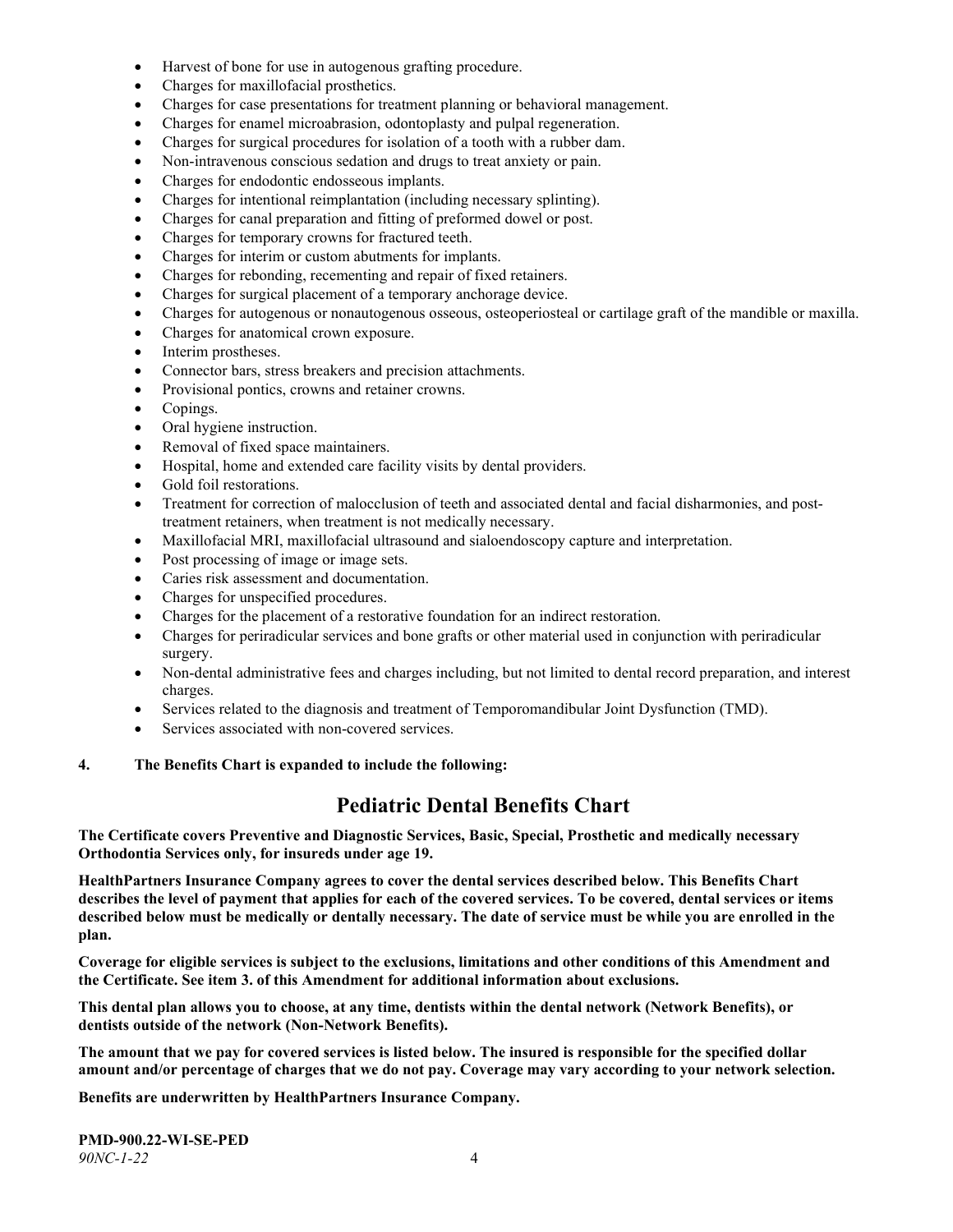- Harvest of bone for use in autogenous grafting procedure.
- Charges for maxillofacial prosthetics.
- Charges for case presentations for treatment planning or behavioral management.
- Charges for enamel microabrasion, odontoplasty and pulpal regeneration.
- Charges for surgical procedures for isolation of a tooth with a rubber dam.
- Non-intravenous conscious sedation and drugs to treat anxiety or pain.
- Charges for endodontic endosseous implants.
- Charges for intentional reimplantation (including necessary splinting).
- Charges for canal preparation and fitting of preformed dowel or post.
- Charges for temporary crowns for fractured teeth.
- Charges for interim or custom abutments for implants.
- Charges for rebonding, recementing and repair of fixed retainers.
- Charges for surgical placement of a temporary anchorage device.
- Charges for autogenous or nonautogenous osseous, osteoperiosteal or cartilage graft of the mandible or maxilla.
- Charges for anatomical crown exposure.
- Interim prostheses.
- Connector bars, stress breakers and precision attachments.
- Provisional pontics, crowns and retainer crowns.
- Copings.
- Oral hygiene instruction.
- Removal of fixed space maintainers.
- Hospital, home and extended care facility visits by dental providers.
- Gold foil restorations.
- Treatment for correction of malocclusion of teeth and associated dental and facial disharmonies, and posttreatment retainers, when treatment is not medically necessary.
- Maxillofacial MRI, maxillofacial ultrasound and sialoendoscopy capture and interpretation.
- Post processing of image or image sets.
- Caries risk assessment and documentation.
- Charges for unspecified procedures.
- Charges for the placement of a restorative foundation for an indirect restoration.
- Charges for periradicular services and bone grafts or other material used in conjunction with periradicular surgery.
- Non-dental administrative fees and charges including, but not limited to dental record preparation, and interest charges.
- Services related to the diagnosis and treatment of Temporomandibular Joint Dysfunction (TMD).
- Services associated with non-covered services.

#### **4. The Benefits Chart is expanded to include the following:**

## **Pediatric Dental Benefits Chart**

**The Certificate covers Preventive and Diagnostic Services, Basic, Special, Prosthetic and medically necessary Orthodontia Services only, for insureds under age 19.**

**HealthPartners Insurance Company agrees to cover the dental services described below. This Benefits Chart describes the level of payment that applies for each of the covered services. To be covered, dental services or items described below must be medically or dentally necessary. The date of service must be while you are enrolled in the plan.**

**Coverage for eligible services is subject to the exclusions, limitations and other conditions of this Amendment and the Certificate. See item 3. of this Amendment for additional information about exclusions.**

**This dental plan allows you to choose, at any time, dentists within the dental network (Network Benefits), or dentists outside of the network (Non-Network Benefits).**

**The amount that we pay for covered services is listed below. The insured is responsible for the specified dollar amount and/or percentage of charges that we do not pay. Coverage may vary according to your network selection.**

**Benefits are underwritten by HealthPartners Insurance Company.**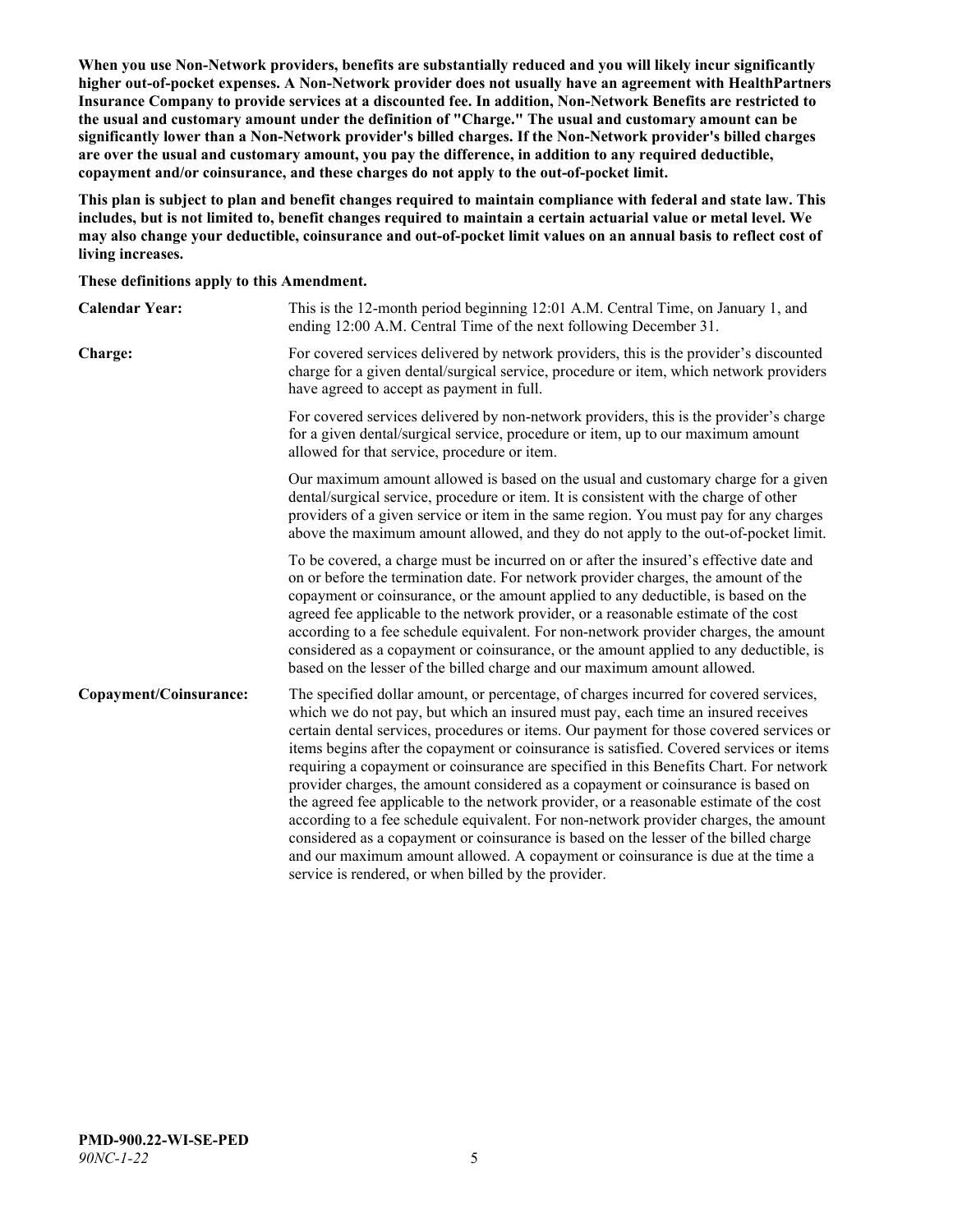**When you use Non-Network providers, benefits are substantially reduced and you will likely incur significantly higher out-of-pocket expenses. A Non-Network provider does not usually have an agreement with HealthPartners Insurance Company to provide services at a discounted fee. In addition, Non-Network Benefits are restricted to the usual and customary amount under the definition of "Charge." The usual and customary amount can be significantly lower than a Non-Network provider's billed charges. If the Non-Network provider's billed charges are over the usual and customary amount, you pay the difference, in addition to any required deductible, copayment and/or coinsurance, and these charges do not apply to the out-of-pocket limit.**

**This plan is subject to plan and benefit changes required to maintain compliance with federal and state law. This includes, but is not limited to, benefit changes required to maintain a certain actuarial value or metal level. We may also change your deductible, coinsurance and out-of-pocket limit values on an annual basis to reflect cost of living increases.**

**These definitions apply to this Amendment.**

| <b>Calendar Year:</b>  | This is the 12-month period beginning 12:01 A.M. Central Time, on January 1, and<br>ending 12:00 A.M. Central Time of the next following December 31.                                                                                                                                                                                                                                                                                                                                                                                                                                                                                                                                                                                                                                                                                                                                                                                                                 |
|------------------------|-----------------------------------------------------------------------------------------------------------------------------------------------------------------------------------------------------------------------------------------------------------------------------------------------------------------------------------------------------------------------------------------------------------------------------------------------------------------------------------------------------------------------------------------------------------------------------------------------------------------------------------------------------------------------------------------------------------------------------------------------------------------------------------------------------------------------------------------------------------------------------------------------------------------------------------------------------------------------|
| Charge:                | For covered services delivered by network providers, this is the provider's discounted<br>charge for a given dental/surgical service, procedure or item, which network providers<br>have agreed to accept as payment in full.                                                                                                                                                                                                                                                                                                                                                                                                                                                                                                                                                                                                                                                                                                                                         |
|                        | For covered services delivered by non-network providers, this is the provider's charge<br>for a given dental/surgical service, procedure or item, up to our maximum amount<br>allowed for that service, procedure or item.                                                                                                                                                                                                                                                                                                                                                                                                                                                                                                                                                                                                                                                                                                                                            |
|                        | Our maximum amount allowed is based on the usual and customary charge for a given<br>dental/surgical service, procedure or item. It is consistent with the charge of other<br>providers of a given service or item in the same region. You must pay for any charges<br>above the maximum amount allowed, and they do not apply to the out-of-pocket limit.                                                                                                                                                                                                                                                                                                                                                                                                                                                                                                                                                                                                            |
|                        | To be covered, a charge must be incurred on or after the insured's effective date and<br>on or before the termination date. For network provider charges, the amount of the<br>copayment or coinsurance, or the amount applied to any deductible, is based on the<br>agreed fee applicable to the network provider, or a reasonable estimate of the cost<br>according to a fee schedule equivalent. For non-network provider charges, the amount<br>considered as a copayment or coinsurance, or the amount applied to any deductible, is<br>based on the lesser of the billed charge and our maximum amount allowed.                                                                                                                                                                                                                                                                                                                                                 |
| Copayment/Coinsurance: | The specified dollar amount, or percentage, of charges incurred for covered services,<br>which we do not pay, but which an insured must pay, each time an insured receives<br>certain dental services, procedures or items. Our payment for those covered services or<br>items begins after the copayment or coinsurance is satisfied. Covered services or items<br>requiring a copayment or coinsurance are specified in this Benefits Chart. For network<br>provider charges, the amount considered as a copayment or coinsurance is based on<br>the agreed fee applicable to the network provider, or a reasonable estimate of the cost<br>according to a fee schedule equivalent. For non-network provider charges, the amount<br>considered as a copayment or coinsurance is based on the lesser of the billed charge<br>and our maximum amount allowed. A copayment or coinsurance is due at the time a<br>service is rendered, or when billed by the provider. |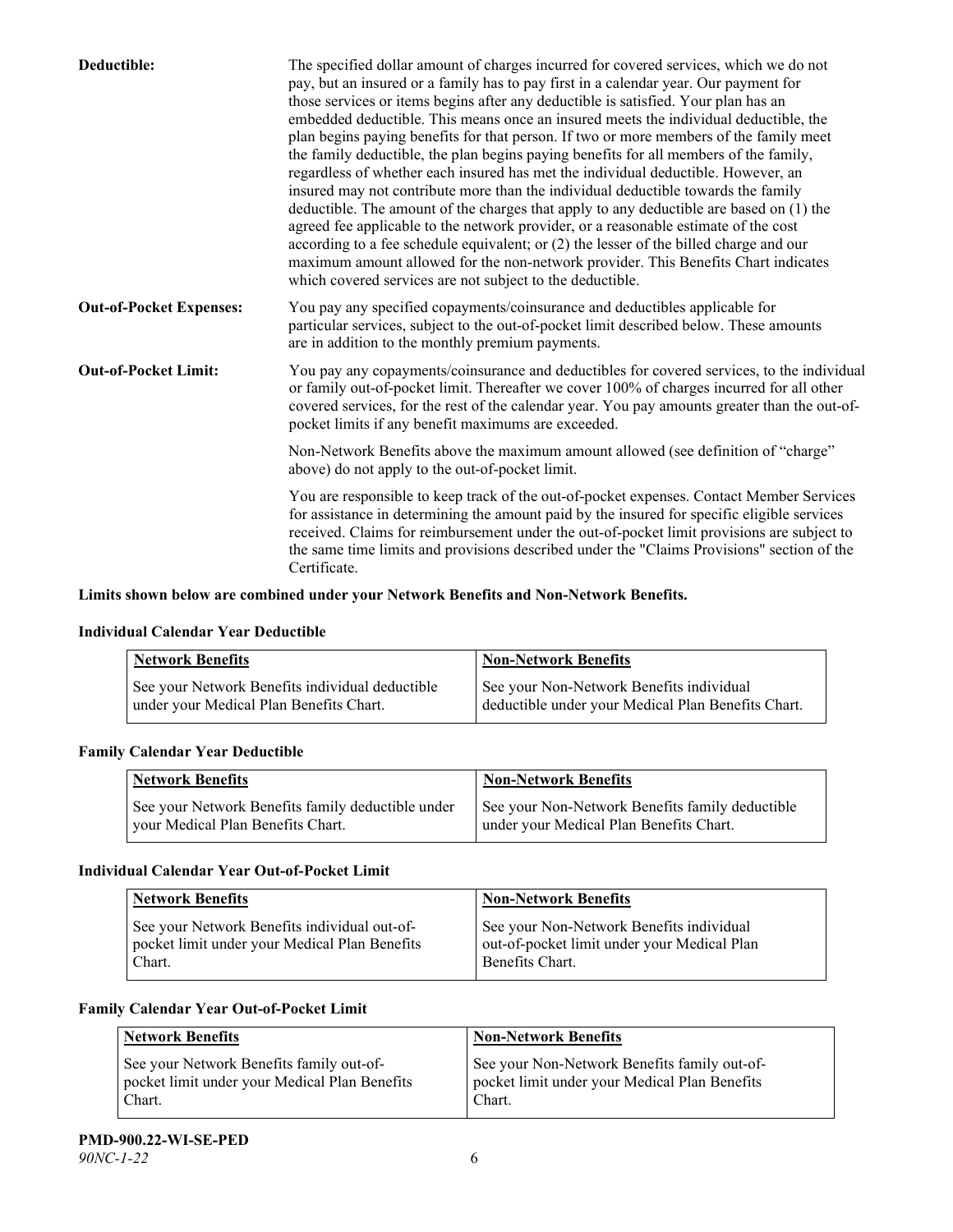| Deductible:                    | The specified dollar amount of charges incurred for covered services, which we do not<br>pay, but an insured or a family has to pay first in a calendar year. Our payment for<br>those services or items begins after any deductible is satisfied. Your plan has an<br>embedded deductible. This means once an insured meets the individual deductible, the<br>plan begins paying benefits for that person. If two or more members of the family meet<br>the family deductible, the plan begins paying benefits for all members of the family,<br>regardless of whether each insured has met the individual deductible. However, an<br>insured may not contribute more than the individual deductible towards the family<br>deductible. The amount of the charges that apply to any deductible are based on (1) the<br>agreed fee applicable to the network provider, or a reasonable estimate of the cost<br>according to a fee schedule equivalent; or (2) the lesser of the billed charge and our<br>maximum amount allowed for the non-network provider. This Benefits Chart indicates<br>which covered services are not subject to the deductible. |
|--------------------------------|---------------------------------------------------------------------------------------------------------------------------------------------------------------------------------------------------------------------------------------------------------------------------------------------------------------------------------------------------------------------------------------------------------------------------------------------------------------------------------------------------------------------------------------------------------------------------------------------------------------------------------------------------------------------------------------------------------------------------------------------------------------------------------------------------------------------------------------------------------------------------------------------------------------------------------------------------------------------------------------------------------------------------------------------------------------------------------------------------------------------------------------------------------|
| <b>Out-of-Pocket Expenses:</b> | You pay any specified copayments/coinsurance and deductibles applicable for<br>particular services, subject to the out-of-pocket limit described below. These amounts<br>are in addition to the monthly premium payments.                                                                                                                                                                                                                                                                                                                                                                                                                                                                                                                                                                                                                                                                                                                                                                                                                                                                                                                               |
| <b>Out-of-Pocket Limit:</b>    | You pay any copayments/coinsurance and deductibles for covered services, to the individual<br>or family out-of-pocket limit. Thereafter we cover 100% of charges incurred for all other<br>covered services, for the rest of the calendar year. You pay amounts greater than the out-of-<br>pocket limits if any benefit maximums are exceeded.                                                                                                                                                                                                                                                                                                                                                                                                                                                                                                                                                                                                                                                                                                                                                                                                         |
|                                | Non-Network Benefits above the maximum amount allowed (see definition of "charge"<br>above) do not apply to the out-of-pocket limit.                                                                                                                                                                                                                                                                                                                                                                                                                                                                                                                                                                                                                                                                                                                                                                                                                                                                                                                                                                                                                    |
|                                | You are responsible to keep track of the out-of-pocket expenses. Contact Member Services<br>for assistance in determining the amount paid by the insured for specific eligible services<br>received. Claims for reimbursement under the out-of-pocket limit provisions are subject to<br>the same time limits and provisions described under the "Claims Provisions" section of the<br>Certificate.                                                                                                                                                                                                                                                                                                                                                                                                                                                                                                                                                                                                                                                                                                                                                     |

## **Limits shown below are combined under your Network Benefits and Non-Network Benefits.**

#### **Individual Calendar Year Deductible**

| <b>Network Benefits</b>                         | <b>Non-Network Benefits</b>                        |
|-------------------------------------------------|----------------------------------------------------|
| See your Network Benefits individual deductible | See your Non-Network Benefits individual           |
| under your Medical Plan Benefits Chart.         | deductible under your Medical Plan Benefits Chart. |

#### **Family Calendar Year Deductible**

| Network Benefits                                                                       | <b>Non-Network Benefits</b>                                                                |
|----------------------------------------------------------------------------------------|--------------------------------------------------------------------------------------------|
| See your Network Benefits family deductible under<br>vour Medical Plan Benefits Chart. | See your Non-Network Benefits family deductible<br>under your Medical Plan Benefits Chart. |

## **Individual Calendar Year Out-of-Pocket Limit**

| <b>Network Benefits</b>                                                                                 | <b>Non-Network Benefits</b>                                                                                |
|---------------------------------------------------------------------------------------------------------|------------------------------------------------------------------------------------------------------------|
| See your Network Benefits individual out-of-<br>pocket limit under your Medical Plan Benefits<br>Chart. | See your Non-Network Benefits individual<br>out-of-pocket limit under your Medical Plan<br>Benefits Chart. |

#### **Family Calendar Year Out-of-Pocket Limit**

| <b>Network Benefits</b>                                                                             | <b>Non-Network Benefits</b>                                                                             |
|-----------------------------------------------------------------------------------------------------|---------------------------------------------------------------------------------------------------------|
| See your Network Benefits family out-of-<br>pocket limit under your Medical Plan Benefits<br>Chart. | See your Non-Network Benefits family out-of-<br>pocket limit under your Medical Plan Benefits<br>Chart. |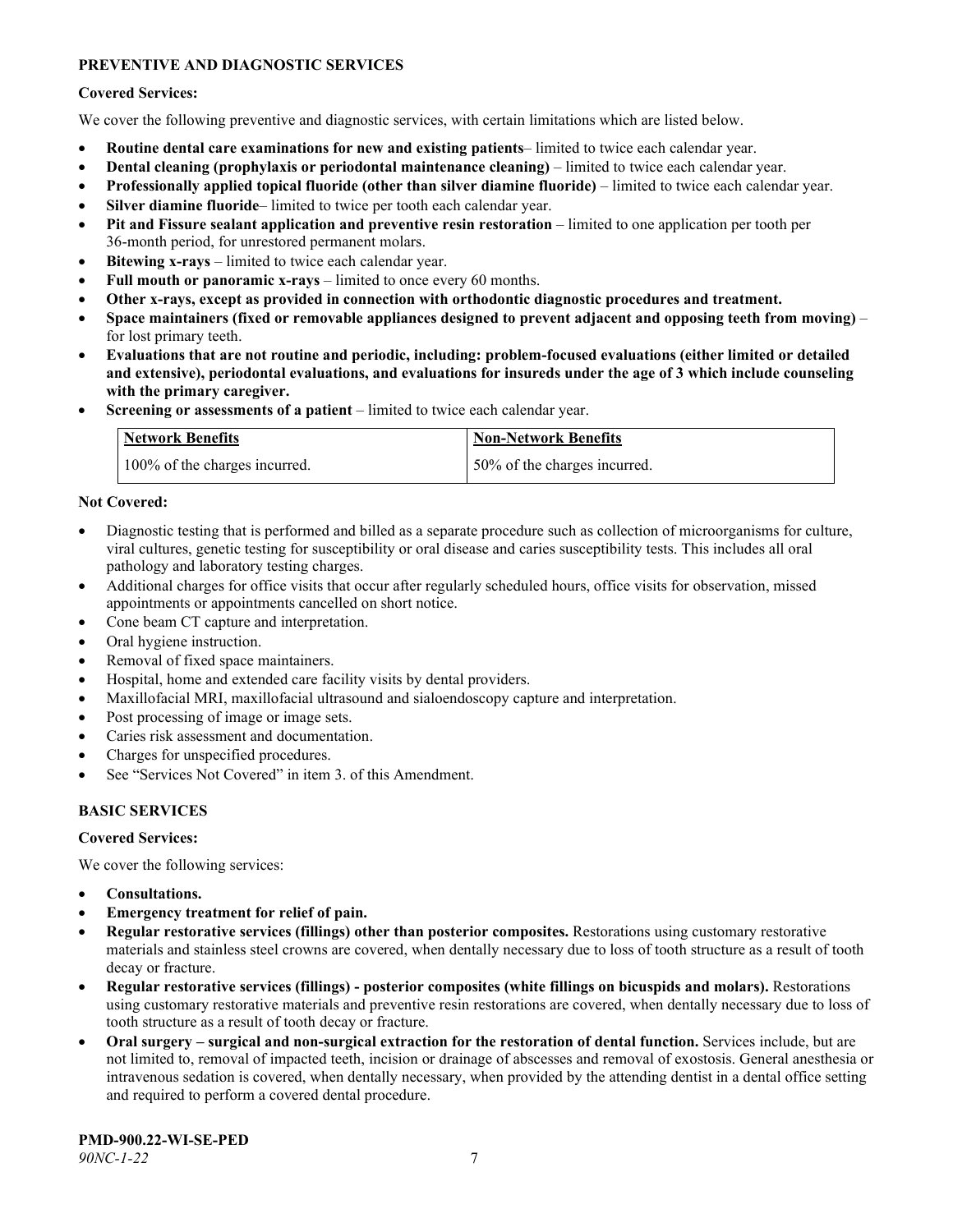## **PREVENTIVE AND DIAGNOSTIC SERVICES**

#### **Covered Services:**

We cover the following preventive and diagnostic services, with certain limitations which are listed below.

- **Routine dental care examinations for new and existing patients** limited to twice each calendar year.
- **Dental cleaning (prophylaxis or periodontal maintenance cleaning)** limited to twice each calendar year.
- **Professionally applied topical fluoride (other than silver diamine fluoride)** limited to twice each calendar year.
- **Silver diamine fluoride** limited to twice per tooth each calendar year.
- **Pit and Fissure sealant application and preventive resin restoration** limited to one application per tooth per 36-month period, for unrestored permanent molars.
- **Bitewing x-rays** limited to twice each calendar year.
- **Full mouth or panoramic x-rays** limited to once every 60 months.
- **Other x-rays, except as provided in connection with orthodontic diagnostic procedures and treatment.**
- **Space maintainers (fixed or removable appliances designed to prevent adjacent and opposing teeth from moving)** for lost primary teeth.
- **Evaluations that are not routine and periodic, including: problem-focused evaluations (either limited or detailed and extensive), periodontal evaluations, and evaluations for insureds under the age of 3 which include counseling with the primary caregiver.**
- **Screening or assessments of a patient** limited to twice each calendar year.

| Network Benefits              | <b>Non-Network Benefits</b>  |
|-------------------------------|------------------------------|
| 100% of the charges incurred. | 50% of the charges incurred. |

#### **Not Covered:**

- Diagnostic testing that is performed and billed as a separate procedure such as collection of microorganisms for culture, viral cultures, genetic testing for susceptibility or oral disease and caries susceptibility tests. This includes all oral pathology and laboratory testing charges.
- Additional charges for office visits that occur after regularly scheduled hours, office visits for observation, missed appointments or appointments cancelled on short notice.
- Cone beam CT capture and interpretation.
- Oral hygiene instruction.
- Removal of fixed space maintainers.
- Hospital, home and extended care facility visits by dental providers.
- Maxillofacial MRI, maxillofacial ultrasound and sialoendoscopy capture and interpretation.
- Post processing of image or image sets.
- Caries risk assessment and documentation.
- Charges for unspecified procedures.
- See "Services Not Covered" in item 3. of this Amendment.

## **BASIC SERVICES**

#### **Covered Services:**

We cover the following services:

- **Consultations.**
- **Emergency treatment for relief of pain.**
- **Regular restorative services (fillings) other than posterior composites.** Restorations using customary restorative materials and stainless steel crowns are covered, when dentally necessary due to loss of tooth structure as a result of tooth decay or fracture.
- **Regular restorative services (fillings) - posterior composites (white fillings on bicuspids and molars).** Restorations using customary restorative materials and preventive resin restorations are covered, when dentally necessary due to loss of tooth structure as a result of tooth decay or fracture.
- **Oral surgery – surgical and non-surgical extraction for the restoration of dental function.** Services include, but are not limited to, removal of impacted teeth, incision or drainage of abscesses and removal of exostosis. General anesthesia or intravenous sedation is covered, when dentally necessary, when provided by the attending dentist in a dental office setting and required to perform a covered dental procedure.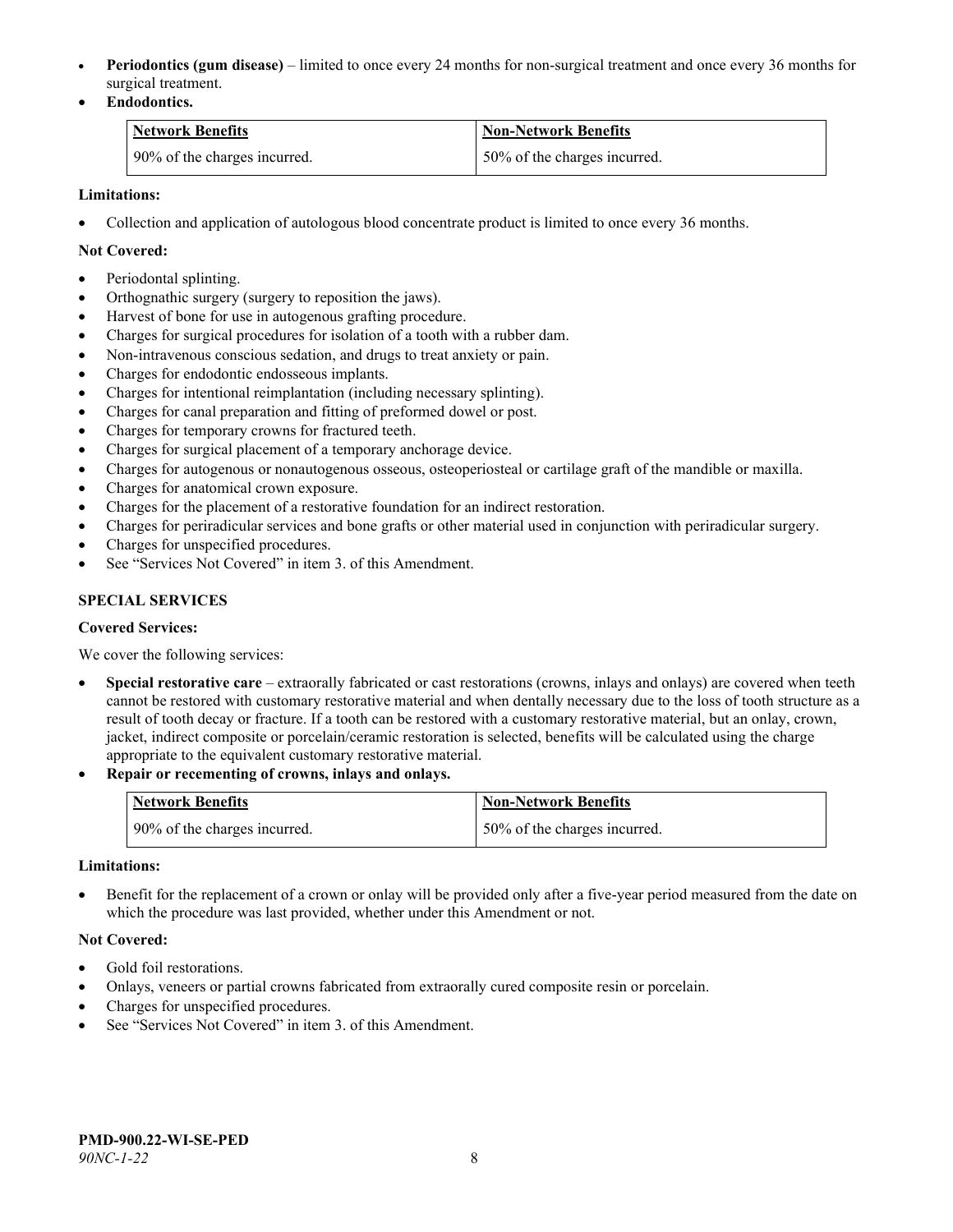- **Periodontics (gum disease)** limited to once every 24 months for non-surgical treatment and once every 36 months for surgical treatment.
- **Endodontics.**

| Network Benefits             | <b>Non-Network Benefits</b>  |
|------------------------------|------------------------------|
| 90% of the charges incurred. | 50% of the charges incurred. |

## **Limitations:**

• Collection and application of autologous blood concentrate product is limited to once every 36 months.

#### **Not Covered:**

- Periodontal splinting.
- Orthognathic surgery (surgery to reposition the jaws).
- Harvest of bone for use in autogenous grafting procedure.
- Charges for surgical procedures for isolation of a tooth with a rubber dam.
- Non-intravenous conscious sedation, and drugs to treat anxiety or pain.
- Charges for endodontic endosseous implants.
- Charges for intentional reimplantation (including necessary splinting).
- Charges for canal preparation and fitting of preformed dowel or post.
- Charges for temporary crowns for fractured teeth.
- Charges for surgical placement of a temporary anchorage device.
- Charges for autogenous or nonautogenous osseous, osteoperiosteal or cartilage graft of the mandible or maxilla.
- Charges for anatomical crown exposure.
- Charges for the placement of a restorative foundation for an indirect restoration.
- Charges for periradicular services and bone grafts or other material used in conjunction with periradicular surgery.
- Charges for unspecified procedures.
- See "Services Not Covered" in item 3. of this Amendment.

## **SPECIAL SERVICES**

#### **Covered Services:**

We cover the following services:

- **Special restorative care** extraorally fabricated or cast restorations (crowns, inlays and onlays) are covered when teeth cannot be restored with customary restorative material and when dentally necessary due to the loss of tooth structure as a result of tooth decay or fracture. If a tooth can be restored with a customary restorative material, but an onlay, crown, jacket, indirect composite or porcelain/ceramic restoration is selected, benefits will be calculated using the charge appropriate to the equivalent customary restorative material.
- **Repair or recementing of crowns, inlays and onlays.**

| <b>Network Benefits</b>      | <b>Non-Network Benefits</b>  |
|------------------------------|------------------------------|
| 90% of the charges incurred. | 50% of the charges incurred. |

#### **Limitations:**

• Benefit for the replacement of a crown or onlay will be provided only after a five-year period measured from the date on which the procedure was last provided, whether under this Amendment or not.

#### **Not Covered:**

- Gold foil restorations.
- Onlays, veneers or partial crowns fabricated from extraorally cured composite resin or porcelain.
- Charges for unspecified procedures.
- See "Services Not Covered" in item 3. of this Amendment.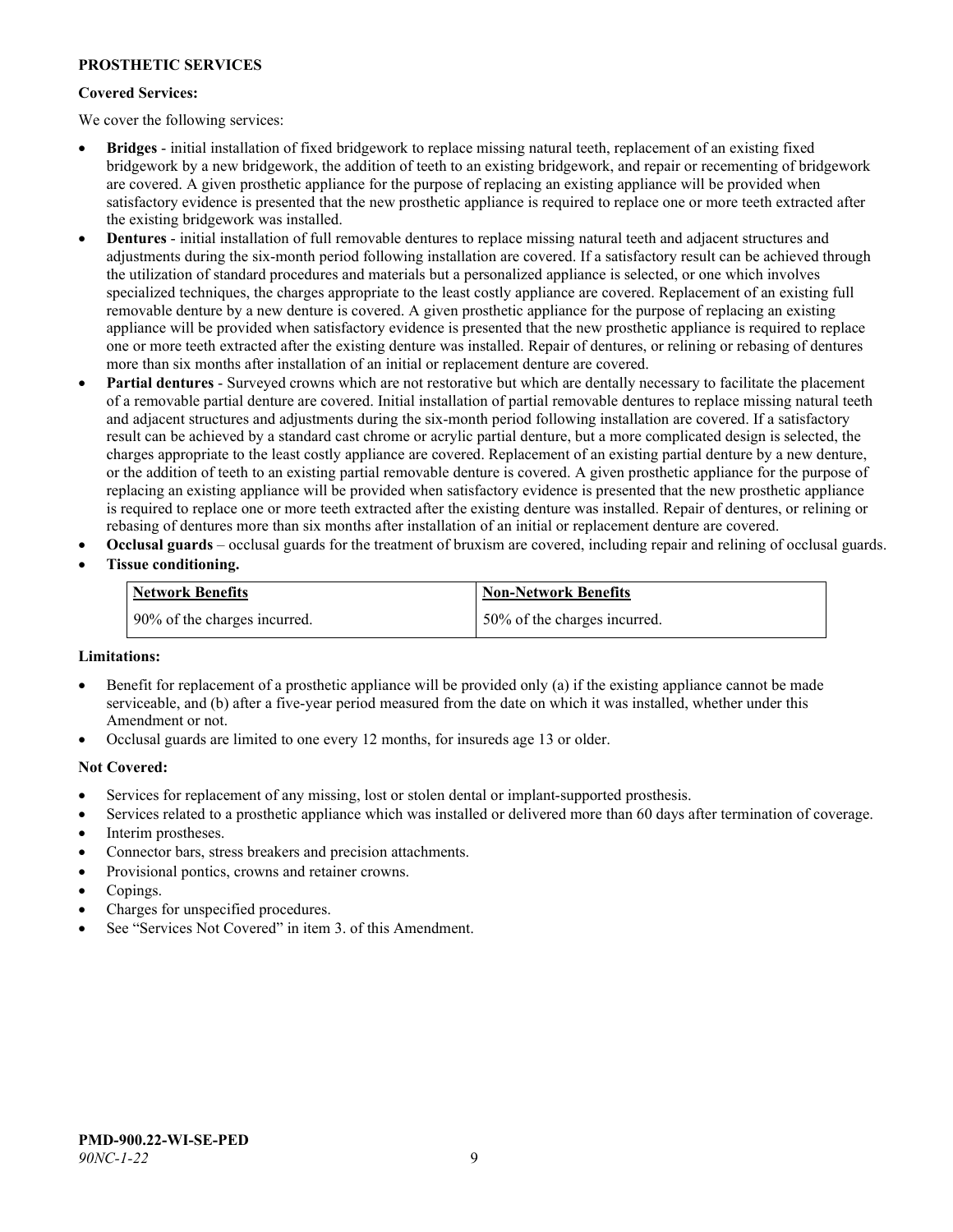#### **PROSTHETIC SERVICES**

#### **Covered Services:**

We cover the following services:

- **Bridges** initial installation of fixed bridgework to replace missing natural teeth, replacement of an existing fixed bridgework by a new bridgework, the addition of teeth to an existing bridgework, and repair or recementing of bridgework are covered. A given prosthetic appliance for the purpose of replacing an existing appliance will be provided when satisfactory evidence is presented that the new prosthetic appliance is required to replace one or more teeth extracted after the existing bridgework was installed.
- **Dentures** initial installation of full removable dentures to replace missing natural teeth and adjacent structures and adjustments during the six-month period following installation are covered. If a satisfactory result can be achieved through the utilization of standard procedures and materials but a personalized appliance is selected, or one which involves specialized techniques, the charges appropriate to the least costly appliance are covered. Replacement of an existing full removable denture by a new denture is covered. A given prosthetic appliance for the purpose of replacing an existing appliance will be provided when satisfactory evidence is presented that the new prosthetic appliance is required to replace one or more teeth extracted after the existing denture was installed. Repair of dentures, or relining or rebasing of dentures more than six months after installation of an initial or replacement denture are covered.
- **Partial dentures** Surveyed crowns which are not restorative but which are dentally necessary to facilitate the placement of a removable partial denture are covered. Initial installation of partial removable dentures to replace missing natural teeth and adjacent structures and adjustments during the six-month period following installation are covered. If a satisfactory result can be achieved by a standard cast chrome or acrylic partial denture, but a more complicated design is selected, the charges appropriate to the least costly appliance are covered. Replacement of an existing partial denture by a new denture, or the addition of teeth to an existing partial removable denture is covered. A given prosthetic appliance for the purpose of replacing an existing appliance will be provided when satisfactory evidence is presented that the new prosthetic appliance is required to replace one or more teeth extracted after the existing denture was installed. Repair of dentures, or relining or rebasing of dentures more than six months after installation of an initial or replacement denture are covered.
- **Occlusal guards** occlusal guards for the treatment of bruxism are covered, including repair and relining of occlusal guards.
- **Tissue conditioning.**

| <b>Network Benefits</b>      | <b>Non-Network Benefits</b>  |
|------------------------------|------------------------------|
| 90% of the charges incurred. | 50% of the charges incurred. |

#### **Limitations:**

- Benefit for replacement of a prosthetic appliance will be provided only (a) if the existing appliance cannot be made serviceable, and (b) after a five-year period measured from the date on which it was installed, whether under this Amendment or not.
- Occlusal guards are limited to one every 12 months, for insureds age 13 or older.

#### **Not Covered:**

- Services for replacement of any missing, lost or stolen dental or implant-supported prosthesis.
- Services related to a prosthetic appliance which was installed or delivered more than 60 days after termination of coverage. Interim prostheses.
- Connector bars, stress breakers and precision attachments.
- Provisional pontics, crowns and retainer crowns.
- Copings.
- Charges for unspecified procedures.
- See "Services Not Covered" in item 3. of this Amendment.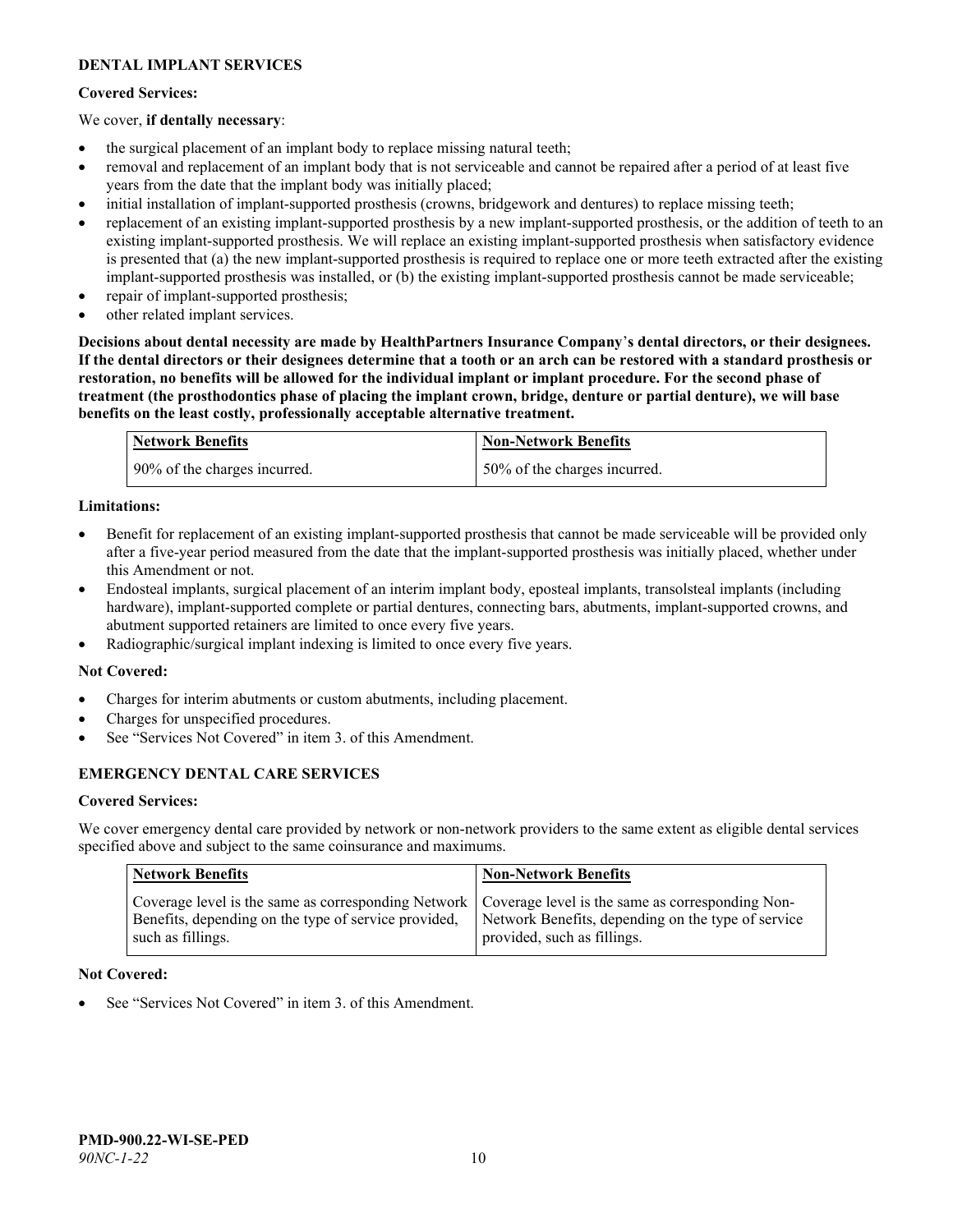## **DENTAL IMPLANT SERVICES**

#### **Covered Services:**

#### We cover, **if dentally necessary**:

- the surgical placement of an implant body to replace missing natural teeth;
- removal and replacement of an implant body that is not serviceable and cannot be repaired after a period of at least five years from the date that the implant body was initially placed;
- initial installation of implant-supported prosthesis (crowns, bridgework and dentures) to replace missing teeth;
- replacement of an existing implant-supported prosthesis by a new implant-supported prosthesis, or the addition of teeth to an existing implant-supported prosthesis. We will replace an existing implant-supported prosthesis when satisfactory evidence is presented that (a) the new implant-supported prosthesis is required to replace one or more teeth extracted after the existing implant-supported prosthesis was installed, or (b) the existing implant-supported prosthesis cannot be made serviceable;
- repair of implant-supported prosthesis;
- other related implant services.

**Decisions about dental necessity are made by HealthPartners Insurance Company**'**s dental directors, or their designees. If the dental directors or their designees determine that a tooth or an arch can be restored with a standard prosthesis or restoration, no benefits will be allowed for the individual implant or implant procedure. For the second phase of treatment (the prosthodontics phase of placing the implant crown, bridge, denture or partial denture), we will base benefits on the least costly, professionally acceptable alternative treatment.**

| Network Benefits             | <b>Non-Network Benefits</b>  |
|------------------------------|------------------------------|
| 90% of the charges incurred. | 50% of the charges incurred. |

#### **Limitations:**

- Benefit for replacement of an existing implant-supported prosthesis that cannot be made serviceable will be provided only after a five-year period measured from the date that the implant-supported prosthesis was initially placed, whether under this Amendment or not.
- Endosteal implants, surgical placement of an interim implant body, eposteal implants, transolsteal implants (including hardware), implant-supported complete or partial dentures, connecting bars, abutments, implant-supported crowns, and abutment supported retainers are limited to once every five years.
- Radiographic/surgical implant indexing is limited to once every five years.

#### **Not Covered:**

- Charges for interim abutments or custom abutments, including placement.
- Charges for unspecified procedures.
- See "Services Not Covered" in item 3. of this Amendment.

## **EMERGENCY DENTAL CARE SERVICES**

#### **Covered Services:**

We cover emergency dental care provided by network or non-network providers to the same extent as eligible dental services specified above and subject to the same coinsurance and maximums.

| <b>Network Benefits</b>                                                                                                                                                             | <b>Non-Network Benefits</b>                                                       |
|-------------------------------------------------------------------------------------------------------------------------------------------------------------------------------------|-----------------------------------------------------------------------------------|
| Coverage level is the same as corresponding Network   Coverage level is the same as corresponding Non-<br>Benefits, depending on the type of service provided,<br>such as fillings. | Network Benefits, depending on the type of service<br>provided, such as fillings. |

#### **Not Covered:**

See "Services Not Covered" in item 3. of this Amendment.